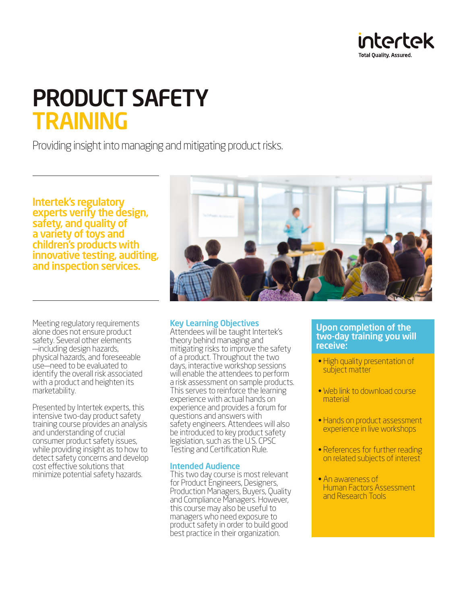

# PRODUCT SAFETY TRAINING

Providing insight into managing and mitigating product risks.

Intertek's regulatory experts verify the design, safety, and quality of a variety of toys and children's products with innovative testing, auditing, and inspection services.

Meeting regulatory requirements alone does not ensure product safety. Several other elements —including design hazards, physical hazards, and foreseeable use—need to be evaluated to identify the overall risk associated with a product and heighten its marketability.

Presented by Intertek experts, this intensive two-day product safety training course provides an analysis and understanding of crucial consumer product safety issues, while providing insight as to how to detect safety concerns and develop cost effective solutions that minimize potential safety hazards.



# Key Learning Objectives

Attendees will be taught Intertek's theory behind managing and mitigating risks to improve the safety of a product. Throughout the two days, interactive workshop sessions will enable the attendees to perform a risk assessment on sample products. This serves to reinforce the learning experience with actual hands on experience and provides a forum for questions and answers with safety engineers. Attendees will also be introduced to key product safety legislation, such as the U.S. CPSC Testing and Certification Rule.

#### Intended Audience

This two day course is most relevant for Product Engineers, Designers, Production Managers, Buyers, Quality and Compliance Managers. However, this course may also be useful to managers who need exposure to product safety in order to build good best practice in their organization.

## Upon completion of the two-day training you will receive:

- High quality presentation of subject matter
- Web link to download course material
- Hands on product assessment experience in live workshops
- References for further reading on related subjects of interest
- An awareness of<br>Human Factors Assessment and Research Tools